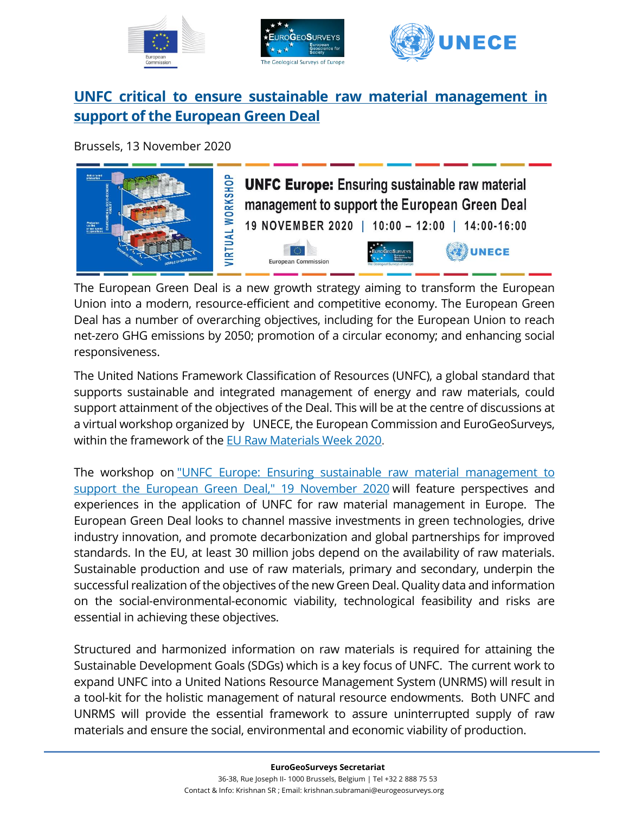





# **UNFC critical to ensure sustainable raw material management in support of the European Green Deal**

Brussels, 13 November 2020



The European Green Deal is a new growth strategy aiming to transform the European Union into a modern, resource-efficient and competitive economy. The European Green Deal has a number of overarching objectives, including for the European Union to reach net-zero GHG emissions by 2050; promotion of a circular economy; and enhancing social responsiveness.

The United Nations Framework Classification of Resources (UNFC), a global standard that supports sustainable and integrated management of energy and raw materials, could support attainment of the objectives of the Deal. This will be at the centre of discussions at a virtual workshop organized by UNECE, the European Commission and EuroGeoSurveys, within the framework of the EU Raw [Materials](https://www.eurawmaterialsweek.eu/2020event) Week 2020.

The workshop on "UNFC Europe: Ensuring sustainable raw material [management](https://www.unece.org/energywelcome/areas-of-work/unfc-and-sustainable-resource-management/meetings-and-events/unfc-and-resource-management/unfc-workshops/2020/virtual-workshop-unfc-europe-ensuring-sustainable-raw-material-management-to-support-the-european-green-deal/docs.html) to support the European Green Deal," 19 [November](https://www.unece.org/energywelcome/areas-of-work/unfc-and-sustainable-resource-management/meetings-and-events/unfc-and-resource-management/unfc-workshops/2020/virtual-workshop-unfc-europe-ensuring-sustainable-raw-material-management-to-support-the-european-green-deal/docs.html) 2020 will feature perspectives and experiences in the application of UNFC for raw material management in Europe. The European Green Deal looks to channel massive investments in green technologies, drive industry innovation, and promote decarbonization and global partnerships for improved standards. In the EU, at least 30 million jobs depend on the availability of raw materials. Sustainable production and use of raw materials, primary and secondary, underpin the successful realization of the objectives of the new Green Deal. Quality data and information on the social-environmental-economic viability, technological feasibility and risks are essential in achieving these objectives.

Structured and harmonized information on raw materials is required for attaining the Sustainable Development Goals (SDGs) which is a key focus of UNFC. The current work to expand UNFC into a United Nations Resource Management System (UNRMS) will result in a tool-kit for the holistic management of natural resource endowments. Both UNFC and UNRMS will provide the essential framework to assure uninterrupted supply of raw materials and ensure the social, environmental and economic viability of production.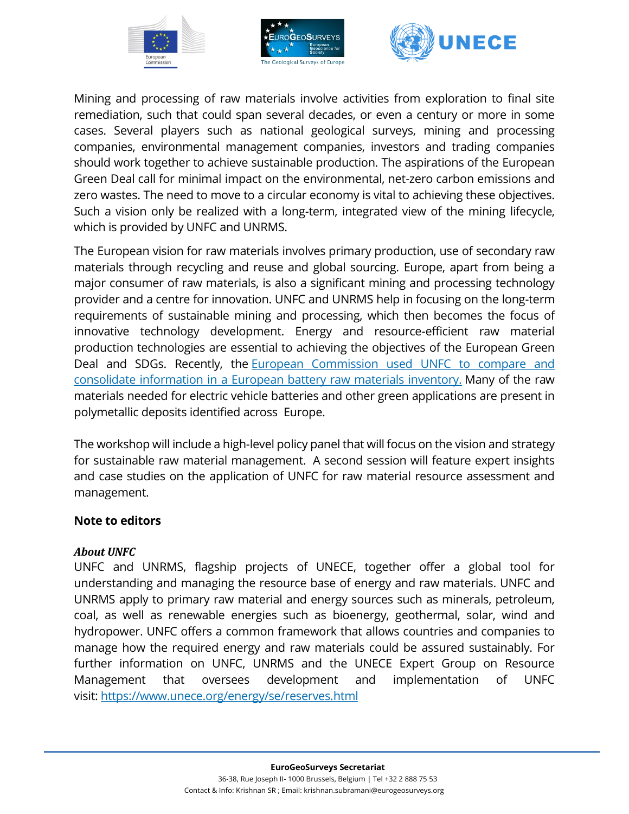





Mining and processing of raw materials involve activities from exploration to final site remediation, such that could span several decades, or even a century or more in some cases. Several players such as national geological surveys, mining and processing companies, environmental management companies, investors and trading companies should work together to achieve sustainable production. The aspirations of the European Green Deal call for minimal impact on the environmental, net-zero carbon emissions and zero wastes. The need to move to a circular economy is vital to achieving these objectives. Such a vision only be realized with a long-term, integrated view of the mining lifecycle, which is provided by UNFC and UNRMS.

The European vision for raw materials involves primary production, use of secondary raw materials through recycling and reuse and global sourcing. Europe, apart from being a major consumer of raw materials, is also a significant mining and processing technology provider and a centre for innovation. UNFC and UNRMS help in focusing on the long-term requirements of sustainable mining and processing, which then becomes the focus of innovative technology development. Energy and resource-efficient raw material production technologies are essential to achieving the objectives of the European Green Deal and SDGs. Recently, the European [Commission](https://www.unece.org/info/media/presscurrent-press-h/sustainable-energy/2019/as-europe-races-ahead-with-electric-vehicles-un-framework-helps-manage-critical-raw-materials-for-batteries/doc.html) used UNFC to compare and consolidate [information](https://www.unece.org/info/media/presscurrent-press-h/sustainable-energy/2019/as-europe-races-ahead-with-electric-vehicles-un-framework-helps-manage-critical-raw-materials-for-batteries/doc.html) in a European battery raw materials inventory. Many of the raw materials needed for electric vehicle batteries and other green applications are present in polymetallic deposits identified across Europe.

The workshop will include a high-level policy panel that will focus on the vision and strategy for sustainable raw material management. A second session will feature expert insights and case studies on the application of UNFC for raw material resource assessment and management.

## **Note to editors**

## *About UNFC*

UNFC and UNRMS, flagship projects of UNECE, together offer a global tool for understanding and managing the resource base of energy and raw materials. UNFC and UNRMS apply to primary raw material and energy sources such as minerals, petroleum, coal, as well as renewable energies such as bioenergy, geothermal, solar, wind and hydropower. UNFC offers a common framework that allows countries and companies to manage how the required energy and raw materials could be assured sustainably. For further information on UNFC, UNRMS and the UNECE Expert Group on Resource Management that oversees development and implementation of UNFC visit: <https://www.unece.org/energy/se/reserves.html>